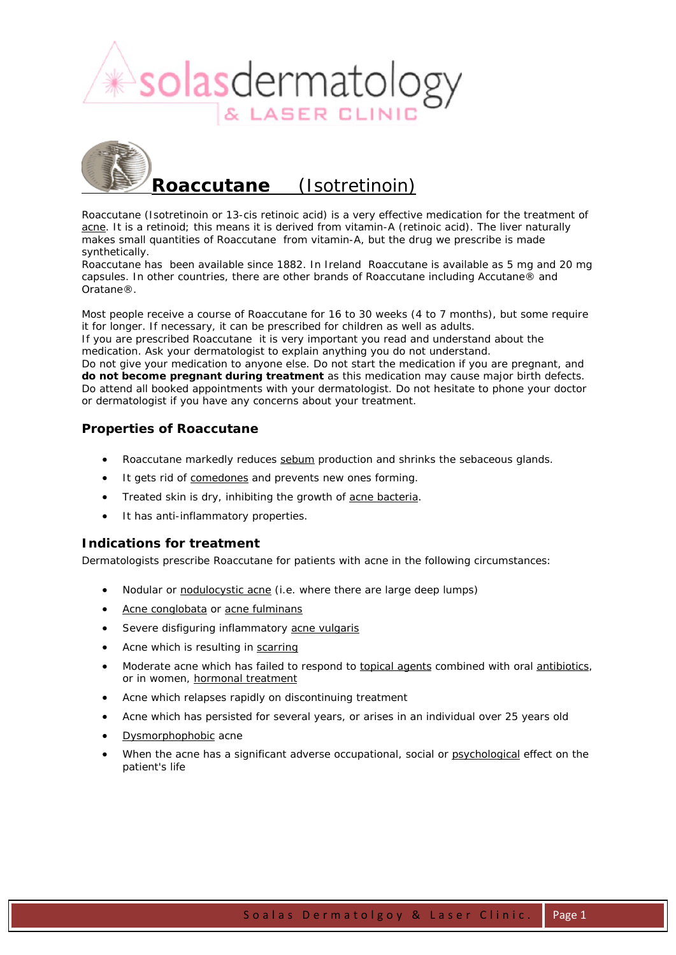

# **Roaccutane** (Isotretinoin)

Roaccutane (Isotretinoin or 13-cis retinoic acid) is a very effective medication for the treatment of acne. It is a retinoid; this means it is derived from vitamin-A (retinoic acid). The liver naturally makes small quantities of Roaccutane from vitamin-A, but the drug we prescribe is made synthetically.

Roaccutane has been available since 1882. In Ireland Roaccutane is available as 5 mg and 20 mg capsules. In other countries, there are other brands of Roaccutane including Accutane® and Oratane®.

Most people receive a course of Roaccutane for 16 to 30 weeks (4 to 7 months), but some require it for longer. If necessary, it can be prescribed for children as well as adults.

If you are prescribed Roaccutane it is very important you read and understand about the medication. Ask your dermatologist to explain anything you do not understand.

Do not give your medication to anyone else. Do not start the medication if you are pregnant, and **do not become pregnant during treatment** as this medication may cause major birth defects. Do attend all booked appointments with your dermatologist. Do not hesitate to phone your doctor or dermatologist if you have any concerns about your treatment.

# *Properties of Roaccutane*

- Roaccutane markedly reduces sebum production and shrinks the sebaceous glands.
- It gets rid of comedones and prevents new ones forming.
- Treated skin is dry, inhibiting the growth of acne bacteria.
- It has anti-inflammatory properties.

#### *Indications for treatment*

Dermatologists prescribe Roaccutane for patients with acne in the following circumstances:

- Nodular or nodulocystic acne (i.e. where there are large deep lumps)
- Acne conglobata or acne fulminans
- Severe disfiguring inflammatory acne vulgaris
- Acne which is resulting in scarring
- Moderate acne which has failed to respond to topical agents combined with oral antibiotics, or in women, hormonal treatment
- Acne which relapses rapidly on discontinuing treatment
- Acne which has persisted for several years, or arises in an individual over 25 years old
- Dysmorphophobic acne
- When the acne has a significant adverse occupational, social or psychological effect on the patient's life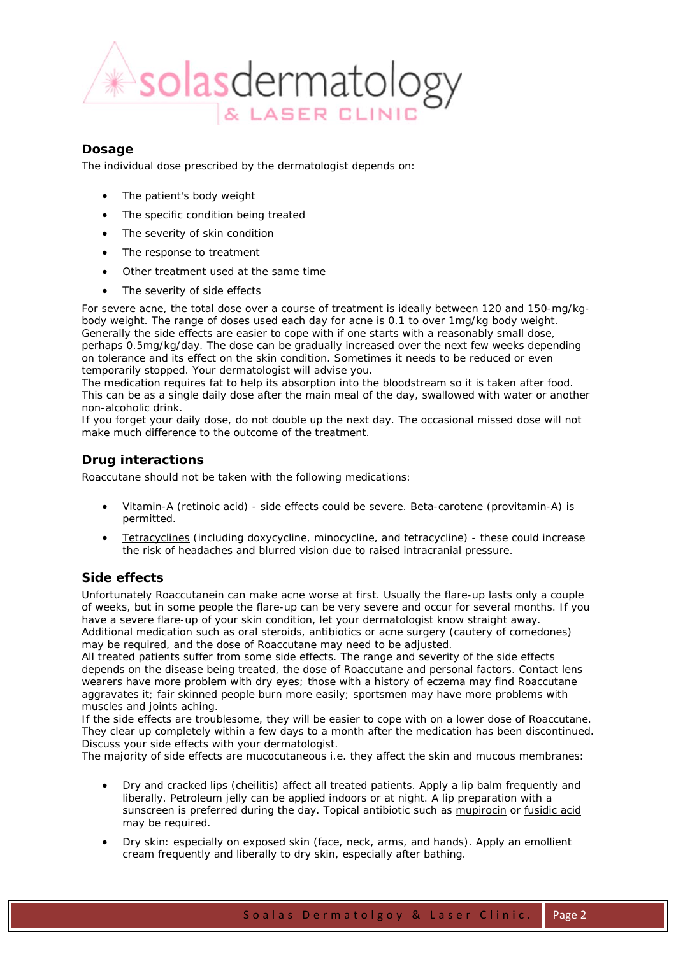

## *Dosage*

The individual dose prescribed by the dermatologist depends on:

- The patient's body weight
- The specific condition being treated
- The severity of skin condition
- The response to treatment
- Other treatment used at the same time
- The severity of side effects

For severe acne, the total dose over a course of treatment is ideally between 120 and 150-mg/kgbody weight. The range of doses used each day for acne is 0.1 to over 1mg/kg body weight. Generally the side effects are easier to cope with if one starts with a reasonably small dose, perhaps 0.5mg/kg/day. The dose can be gradually increased over the next few weeks depending on tolerance and its effect on the skin condition. Sometimes it needs to be reduced or even temporarily stopped. Your dermatologist will advise you.

The medication requires fat to help its absorption into the bloodstream so it is taken after food. This can be as a single daily dose after the main meal of the day, swallowed with water or another non-alcoholic drink.

If you forget your daily dose, do not double up the next day. The occasional missed dose will not make much difference to the outcome of the treatment.

# *Drug interactions*

Roaccutane should not be taken with the following medications:

- Vitamin-A (retinoic acid) side effects could be severe. Beta-carotene (provitamin-A) is permitted.
- Tetracyclines (including doxycycline, minocycline, and tetracycline) these could increase the risk of headaches and blurred vision due to raised intracranial pressure.

#### *Side effects*

Unfortunately Roaccutanein can make acne worse at first. Usually the flare-up lasts only a couple of weeks, but in some people the flare-up can be very severe and occur for several months. If you have a severe flare-up of your skin condition, let your dermatologist know straight away. Additional medication such as oral steroids, antibiotics or acne surgery (cautery of comedones) may be required, and the dose of Roaccutane may need to be adjusted.

All treated patients suffer from some side effects. The range and severity of the side effects depends on the disease being treated, the dose of Roaccutane and personal factors. Contact lens wearers have more problem with dry eyes; those with a history of eczema may find Roaccutane aggravates it; fair skinned people burn more easily; sportsmen may have more problems with muscles and joints aching.

If the side effects are troublesome, they will be easier to cope with on a lower dose of Roaccutane. They clear up completely within a few days to a month after the medication has been discontinued. Discuss your side effects with your dermatologist.

The majority of side effects are mucocutaneous i.e. they affect the skin and mucous membranes:

- Dry and cracked lips (cheilitis) affect all treated patients. Apply a lip balm frequently and liberally. Petroleum jelly can be applied indoors or at night. A lip preparation with a sunscreen is preferred during the day. Topical antibiotic such as mupirocin or fusidic acid may be required.
- Dry skin: especially on exposed skin (face, neck, arms, and hands). Apply an emollient cream frequently and liberally to dry skin, especially after bathing.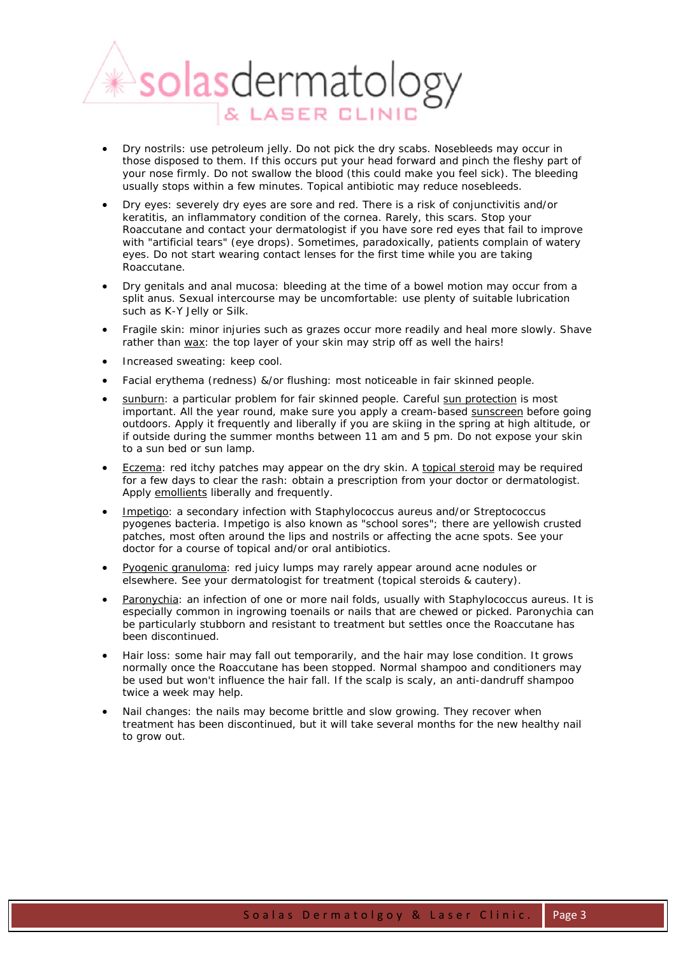

- Dry nostrils: use petroleum jelly. Do not pick the dry scabs. Nosebleeds may occur in those disposed to them. If this occurs put your head forward and pinch the fleshy part of your nose firmly. Do not swallow the blood (this could make you feel sick). The bleeding usually stops within a few minutes. Topical antibiotic may reduce nosebleeds.
- Dry eyes: severely dry eyes are sore and red. There is a risk of conjunctivitis and/or keratitis, an inflammatory condition of the cornea. Rarely, this scars. Stop your Roaccutane and contact your dermatologist if you have sore red eyes that fail to improve with "artificial tears" (eye drops). Sometimes, paradoxically, patients complain of watery eyes. Do not start wearing contact lenses for the first time while you are taking Roaccutane.
- Dry genitals and anal mucosa: bleeding at the time of a bowel motion may occur from a split anus. Sexual intercourse may be uncomfortable: use plenty of suitable lubrication such as K-Y Jelly or Silk.
- Fragile skin: minor injuries such as grazes occur more readily and heal more slowly. Shave rather than wax: the top layer of your skin may strip off as well the hairs!
- Increased sweating: keep cool.
- Facial erythema (redness) &/or flushing: most noticeable in fair skinned people.
- sunburn: a particular problem for fair skinned people. Careful sun protection is most important. All the year round, make sure you apply a cream-based sunscreen before going outdoors. Apply it frequently and liberally if you are skiing in the spring at high altitude, or if outside during the summer months between 11 am and 5 pm. Do not expose your skin to a sun bed or sun lamp.
- Eczema: red itchy patches may appear on the dry skin. A topical steroid may be required for a few days to clear the rash: obtain a prescription from your doctor or dermatologist. Apply emollients liberally and frequently.
- Impetigo: a secondary infection with *Staphylococcus aureus* and/or *Streptococcus pyogenes* bacteria. Impetigo is also known as "school sores"; there are yellowish crusted patches, most often around the lips and nostrils or affecting the acne spots. See your doctor for a course of topical and/or oral antibiotics.
- Pyogenic granuloma: red juicy lumps may rarely appear around acne nodules or elsewhere. See your dermatologist for treatment (topical steroids & cautery).
- Paronychia: an infection of one or more nail folds, usually with *Staphylococcus aureus*. It is especially common in ingrowing toenails or nails that are chewed or picked. Paronychia can be particularly stubborn and resistant to treatment but settles once the Roaccutane has been discontinued.
- Hair loss: some hair may fall out temporarily, and the hair may lose condition. It grows normally once the Roaccutane has been stopped. Normal shampoo and conditioners may be used but won't influence the hair fall. If the scalp is scaly, an anti-dandruff shampoo twice a week may help.
- Nail changes: the nails may become brittle and slow growing. They recover when treatment has been discontinued, but it will take several months for the new healthy nail to grow out.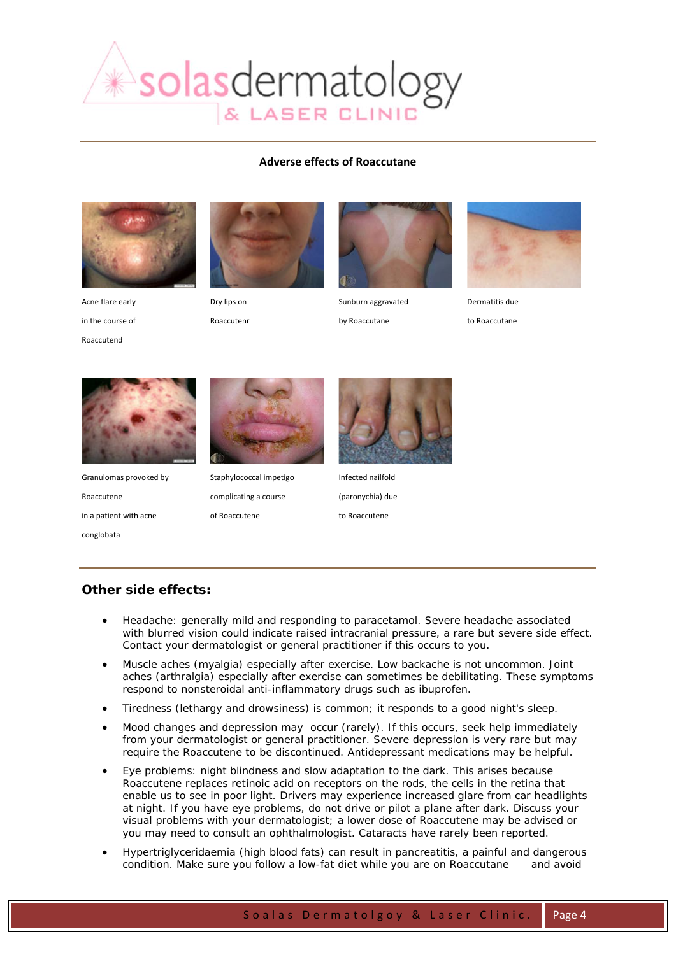

#### **Adverse effects of Roaccutane**



Acne flare early in the course of Roaccutend



Dry lips on

Roaccutenr



Sunburn aggravated

by Roaccutane



Dermatitis due

to Roaccutane



Granulomas provoked by Roaccutene in a patient with acne conglobata



Staphylococcal impetigo complicating a course of Roaccutene



Infected nailfold (paronychia) due to Roaccutene

# *Other side effects:*

- Headache: generally mild and responding to paracetamol. Severe headache associated with blurred vision could indicate raised intracranial pressure, a rare but severe side effect. Contact your dermatologist or general practitioner if this occurs to you.
- Muscle aches (myalgia) especially after exercise. Low backache is not uncommon. Joint aches (arthralgia) especially after exercise can sometimes be debilitating. These symptoms respond to nonsteroidal anti-inflammatory drugs such as ibuprofen.
- Tiredness (lethargy and drowsiness) is common; it responds to a good night's sleep.
- Mood changes and depression may occur (rarely). If this occurs, seek help immediately from your dermatologist or general practitioner. Severe depression is very rare but may require the Roaccutene to be discontinued. Antidepressant medications may be helpful.
- Eye problems: night blindness and slow adaptation to the dark. This arises because Roaccutene replaces retinoic acid on receptors on the rods, the cells in the retina that enable us to see in poor light. Drivers may experience increased glare from car headlights at night. If you have eye problems, do not drive or pilot a plane after dark. Discuss your visual problems with your dermatologist; a lower dose of Roaccutene may be advised or you may need to consult an ophthalmologist. Cataracts have rarely been reported.
- Hypertriglyceridaemia (high blood fats) can result in pancreatitis, a painful and dangerous condition. Make sure you follow a low-fat diet while you are on Roaccutane and avoid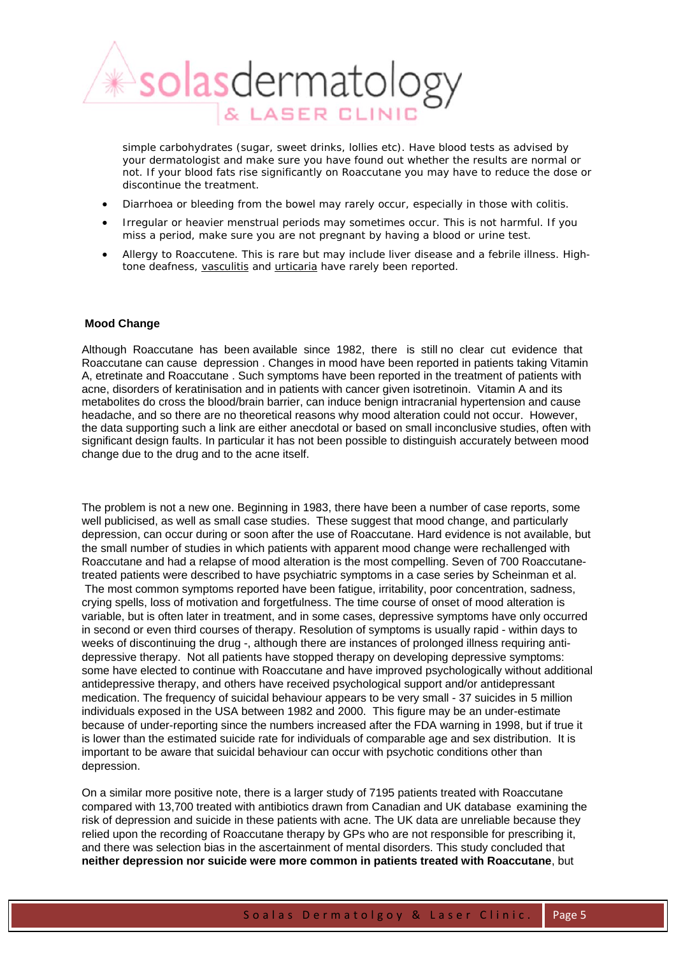

simple carbohydrates (sugar, sweet drinks, lollies etc). Have blood tests as advised by your dermatologist and make sure you have found out whether the results are normal or not. If your blood fats rise significantly on Roaccutane you may have to reduce the dose or discontinue the treatment.

- Diarrhoea or bleeding from the bowel may rarely occur, especially in those with colitis.
- Irregular or heavier menstrual periods may sometimes occur. This is not harmful. If you miss a period, make sure you are not pregnant by having a blood or urine test.
- Allergy to Roaccutene. This is rare but may include liver disease and a febrile illness. Hightone deafness, vasculitis and urticaria have rarely been reported.

#### **Mood Change**

Although Roaccutane has been available since 1982, there is still no clear cut evidence that Roaccutane can cause depression . Changes in mood have been reported in patients taking Vitamin A, etretinate and Roaccutane . Such symptoms have been reported in the treatment of patients with acne, disorders of keratinisation and in patients with cancer given isotretinoin. Vitamin A and its metabolites do cross the blood/brain barrier, can induce benign intracranial hypertension and cause headache, and so there are no theoretical reasons why mood alteration could not occur. However, the data supporting such a link are either anecdotal or based on small inconclusive studies, often with significant design faults. In particular it has not been possible to distinguish accurately between mood change due to the drug and to the acne itself.

The problem is not a new one. Beginning in 1983, there have been a number of case reports, some well publicised, as well as small case studies. These suggest that mood change, and particularly depression, can occur during or soon after the use of Roaccutane. Hard evidence is not available, but the small number of studies in which patients with apparent mood change were rechallenged with Roaccutane and had a relapse of mood alteration is the most compelling. Seven of 700 Roaccutanetreated patients were described to have psychiatric symptoms in a case series by Scheinman et al. The most common symptoms reported have been fatigue, irritability, poor concentration, sadness, crying spells, loss of motivation and forgetfulness. The time course of onset of mood alteration is variable, but is often later in treatment, and in some cases, depressive symptoms have only occurred in second or even third courses of therapy. Resolution of symptoms is usually rapid - within days to weeks of discontinuing the drug -, although there are instances of prolonged illness requiring antidepressive therapy. Not all patients have stopped therapy on developing depressive symptoms: some have elected to continue with Roaccutane and have improved psychologically without additional antidepressive therapy, and others have received psychological support and/or antidepressant medication. The frequency of suicidal behaviour appears to be very small - 37 suicides in 5 million individuals exposed in the USA between 1982 and 2000. This figure may be an under-estimate because of under-reporting since the numbers increased after the FDA warning in 1998, but if true it is lower than the estimated suicide rate for individuals of comparable age and sex distribution. It is important to be aware that suicidal behaviour can occur with psychotic conditions other than depression.

On a similar more positive note, there is a larger study of 7195 patients treated with Roaccutane compared with 13,700 treated with antibiotics drawn from Canadian and UK database examining the risk of depression and suicide in these patients with acne. The UK data are unreliable because they relied upon the recording of Roaccutane therapy by GPs who are not responsible for prescribing it, and there was selection bias in the ascertainment of mental disorders. This study concluded that **neither depression nor suicide were more common in patients treated with Roaccutane**, but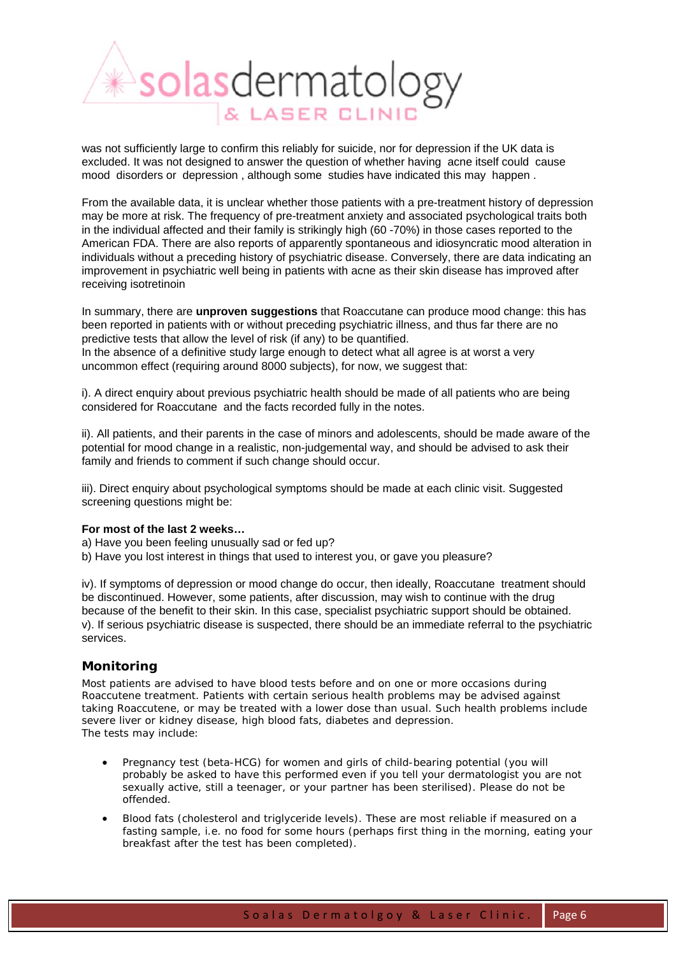

was not sufficiently large to confirm this reliably for suicide, nor for depression if the UK data is excluded. It was not designed to answer the question of whether having acne itself could cause mood disorders or depression , although some studies have indicated this may happen .

From the available data, it is unclear whether those patients with a pre-treatment history of depression may be more at risk. The frequency of pre-treatment anxiety and associated psychological traits both in the individual affected and their family is strikingly high (60 -70%) in those cases reported to the American FDA. There are also reports of apparently spontaneous and idiosyncratic mood alteration in individuals without a preceding history of psychiatric disease. Conversely, there are data indicating an improvement in psychiatric well being in patients with acne as their skin disease has improved after receiving isotretinoin

In summary, there are **unproven suggestions** that Roaccutane can produce mood change: this has been reported in patients with or without preceding psychiatric illness, and thus far there are no predictive tests that allow the level of risk (if any) to be quantified. In the absence of a definitive study large enough to detect what all agree is at worst a very uncommon effect (requiring around 8000 subjects), for now, we suggest that:

i). A direct enquiry about previous psychiatric health should be made of all patients who are being considered for Roaccutane and the facts recorded fully in the notes.

ii). All patients, and their parents in the case of minors and adolescents, should be made aware of the potential for mood change in a realistic, non-judgemental way, and should be advised to ask their family and friends to comment if such change should occur.

iii). Direct enquiry about psychological symptoms should be made at each clinic visit. Suggested screening questions might be:

#### **For most of the last 2 weeks…**

a) Have you been feeling unusually sad or fed up?

b) Have you lost interest in things that used to interest you, or gave you pleasure?

iv). If symptoms of depression or mood change do occur, then ideally, Roaccutane treatment should be discontinued. However, some patients, after discussion, may wish to continue with the drug because of the benefit to their skin. In this case, specialist psychiatric support should be obtained. v). If serious psychiatric disease is suspected, there should be an immediate referral to the psychiatric services.

#### *Monitoring*

Most patients are advised to have blood tests before and on one or more occasions during Roaccutene treatment. Patients with certain serious health problems may be advised against taking Roaccutene, or may be treated with a lower dose than usual. Such health problems include severe liver or kidney disease, high blood fats, diabetes and depression. The tests may include:

- Pregnancy test (beta-HCG) for women and girls of child-bearing potential (you will probably be asked to have this performed even if you tell your dermatologist you are not sexually active, still a teenager, or your partner has been sterilised). Please do not be offended.
- Blood fats (cholesterol and triglyceride levels). These are most reliable if measured on a fasting sample, i.e. no food for some hours (perhaps first thing in the morning, eating your breakfast after the test has been completed).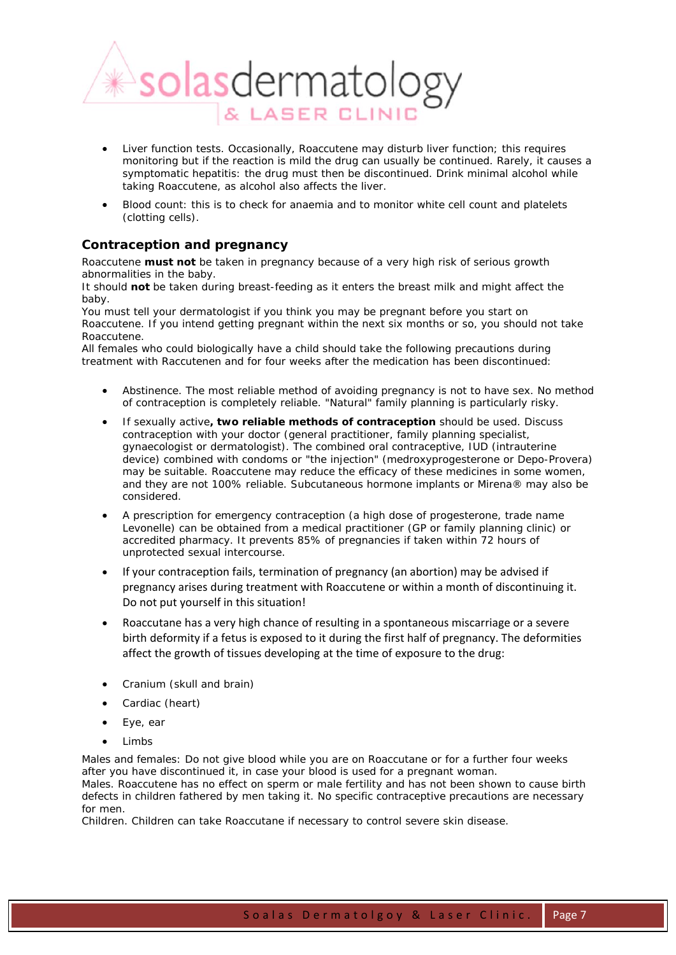

- Liver function tests. Occasionally, Roaccutene may disturb liver function; this requires monitoring but if the reaction is mild the drug can usually be continued. Rarely, it causes a symptomatic hepatitis: the drug must then be discontinued. Drink minimal alcohol while taking Roaccutene, as alcohol also affects the liver.
- Blood count: this is to check for anaemia and to monitor white cell count and platelets (clotting cells).

### *Contraception and pregnancy*

Roaccutene **must not** be taken in pregnancy because of a very high risk of serious growth abnormalities in the baby.

It should **not** be taken during breast-feeding as it enters the breast milk and might affect the baby.

You must tell your dermatologist if you think you may be pregnant before you start on Roaccutene. If you intend getting pregnant within the next six months or so, you should not take Roaccutene.

All females who could biologically have a child should take the following precautions during treatment with Raccutenen and for four weeks after the medication has been discontinued:

- Abstinence. The most reliable method of avoiding pregnancy is not to have sex. No method of contraception is completely reliable. "Natural" family planning is particularly risky.
- If sexually active**, two reliable methods of contraception** should be used. Discuss contraception with your doctor (general practitioner, family planning specialist, gynaecologist or dermatologist). The combined oral contraceptive, IUD (intrauterine device) combined with condoms or "the injection" (medroxyprogesterone or Depo-Provera) may be suitable. Roaccutene may reduce the efficacy of these medicines in some women, and they are not 100% reliable. Subcutaneous hormone implants or Mirena® may also be considered.
- A prescription for emergency contraception (a high dose of progesterone, trade name Levonelle) can be obtained from a medical practitioner (GP or family planning clinic) or accredited pharmacy. It prevents 85% of pregnancies if taken within 72 hours of unprotected sexual intercourse.
- If your contraception fails, termination of pregnancy (an abortion) may be advised if pregnancy arises during treatment with Roaccutene or within a month of discontinuing it. Do not put yourself in this situation!
- Roaccutane has a very high chance of resulting in a spontaneous miscarriage or a severe birth deformity if a fetus is exposed to it during the first half of pregnancy. The deformities affect the growth of tissues developing at the time of exposure to the drug:
- Cranium (skull and brain)
- Cardiac (heart)
- Eye, ear
- **Limbs**

Males and females: Do not give blood while you are on Roaccutane or for a further four weeks after you have discontinued it, in case your blood is used for a pregnant woman. Males. Roaccutene has no effect on sperm or male fertility and has not been shown to cause birth defects in children fathered by men taking it. No specific contraceptive precautions are necessary for men.

Children. Children can take Roaccutane if necessary to control severe skin disease.